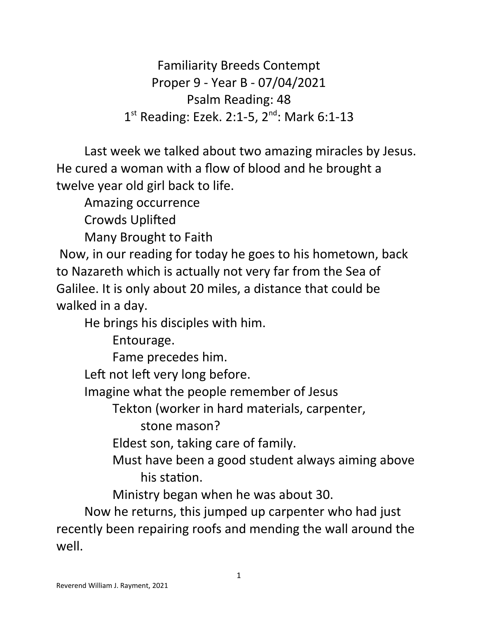Familiarity Breeds Contempt Proper 9 - Year B - 07/04/2021 Psalm Reading: 48 1<sup>st</sup> Reading: Ezek. 2:1-5, 2<sup>nd</sup>: Mark 6:1-13

Last week we talked about two amazing miracles by Jesus. He cured a woman with a flow of blood and he brought a twelve year old girl back to life.

Amazing occurrence

Crowds Uplifted

Many Brought to Faith

 Now, in our reading for today he goes to his hometown, back to Nazareth which is actually not very far from the Sea of Galilee. It is only about 20 miles, a distance that could be walked in a day.

He brings his disciples with him.

Entourage.

Fame precedes him.

Left not left very long before.

Imagine what the people remember of Jesus

Tekton (worker in hard materials, carpenter,

stone mason?

Eldest son, taking care of family.

Must have been a good student always aiming above his station.

Ministry began when he was about 30.

Now he returns, this jumped up carpenter who had just recently been repairing roofs and mending the wall around the well.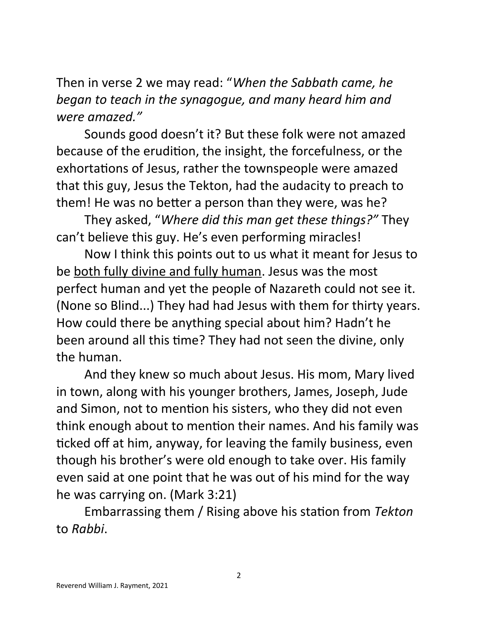Then in verse 2 we may read: "*When the Sabbath came, he began to teach in the synagogue, and many heard him and were amazed."*

Sounds good doesn't it? But these folk were not amazed because of the erudition, the insight, the forcefulness, or the exhortations of Jesus, rather the townspeople were amazed that this guy, Jesus the Tekton, had the audacity to preach to them! He was no better a person than they were, was he?

They asked, "*Where did this man get these things?"* They can't believe this guy. He's even performing miracles!

Now I think this points out to us what it meant for Jesus to be both fully divine and fully human. Jesus was the most perfect human and yet the people of Nazareth could not see it. (None so Blind...) They had had Jesus with them for thirty years. How could there be anything special about him? Hadn't he been around all this time? They had not seen the divine, only the human.

And they knew so much about Jesus. His mom, Mary lived in town, along with his younger brothers, James, Joseph, Jude and Simon, not to mention his sisters, who they did not even think enough about to mention their names. And his family was ticked off at him, anyway, for leaving the family business, even though his brother's were old enough to take over. His family even said at one point that he was out of his mind for the way he was carrying on. (Mark 3:21)

Embarrassing them / Rising above his station from *Tekton*  to *Rabbi*.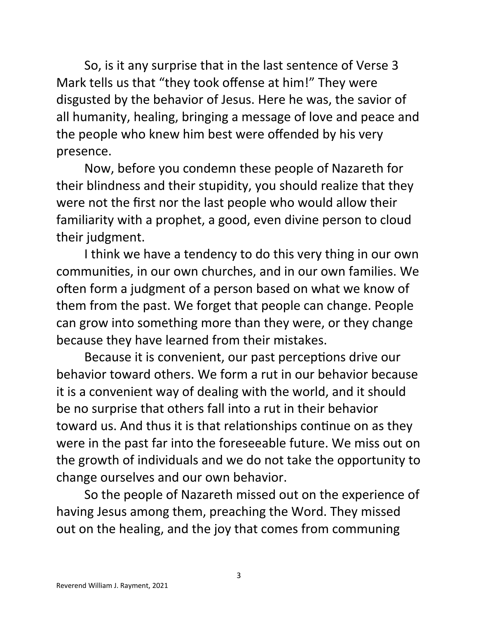So, is it any surprise that in the last sentence of Verse 3 Mark tells us that "they took offense at him!" They were disgusted by the behavior of Jesus. Here he was, the savior of all humanity, healing, bringing a message of love and peace and the people who knew him best were offended by his very presence.

Now, before you condemn these people of Nazareth for their blindness and their stupidity, you should realize that they were not the first nor the last people who would allow their familiarity with a prophet, a good, even divine person to cloud their judgment.

I think we have a tendency to do this very thing in our own communities, in our own churches, and in our own families. We often form a judgment of a person based on what we know of them from the past. We forget that people can change. People can grow into something more than they were, or they change because they have learned from their mistakes.

Because it is convenient, our past perceptions drive our behavior toward others. We form a rut in our behavior because it is a convenient way of dealing with the world, and it should be no surprise that others fall into a rut in their behavior toward us. And thus it is that relationships continue on as they were in the past far into the foreseeable future. We miss out on the growth of individuals and we do not take the opportunity to change ourselves and our own behavior.

So the people of Nazareth missed out on the experience of having Jesus among them, preaching the Word. They missed out on the healing, and the joy that comes from communing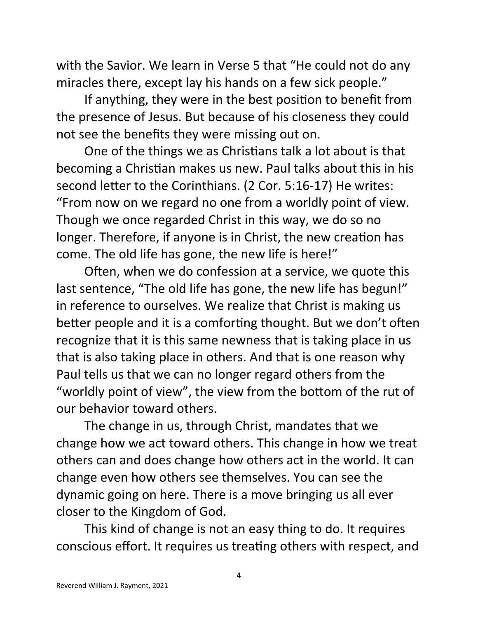with the Savior. We learn in Verse 5 that "He could not do any miracles there, except lay his hands on a few sick people."

If anything, they were in the best position to benefit from the presence of Jesus. But because of his closeness they could not see the benefits they were missing out on.

One of the things we as Christians talk a lot about is that becoming a Christian makes us new. Paul talks about this in his second letter to the Corinthians. (2 Cor. 5:16-17) He writes: "From now on we regard no one from a worldly point of view. Though we once regarded Christ in this way, we do so no longer. Therefore, if anyone is in Christ, the new creation has come. The old life has gone, the new life is here!"

Often, when we do confession at a service, we quote this last sentence, "The old life has gone, the new life has begun!" in reference to ourselves. We realize that Christ is making us better people and it is a comforting thought. But we don't often recognize that it is this same newness that is taking place in us that is also taking place in others. And that is one reason why Paul tells us that we can no longer regard others from the "worldly point of view", the view from the bottom of the rut of our behavior toward others.

The change in us, through Christ, mandates that we change how we act toward others. This change in how we treat others can and does change how others act in the world. It can change even how others see themselves. You can see the dynamic going on here. There is a move bringing us all ever closer to the Kingdom of God.

This kind of change is not an easy thing to do. It requires conscious effort. It requires us treating others with respect, and